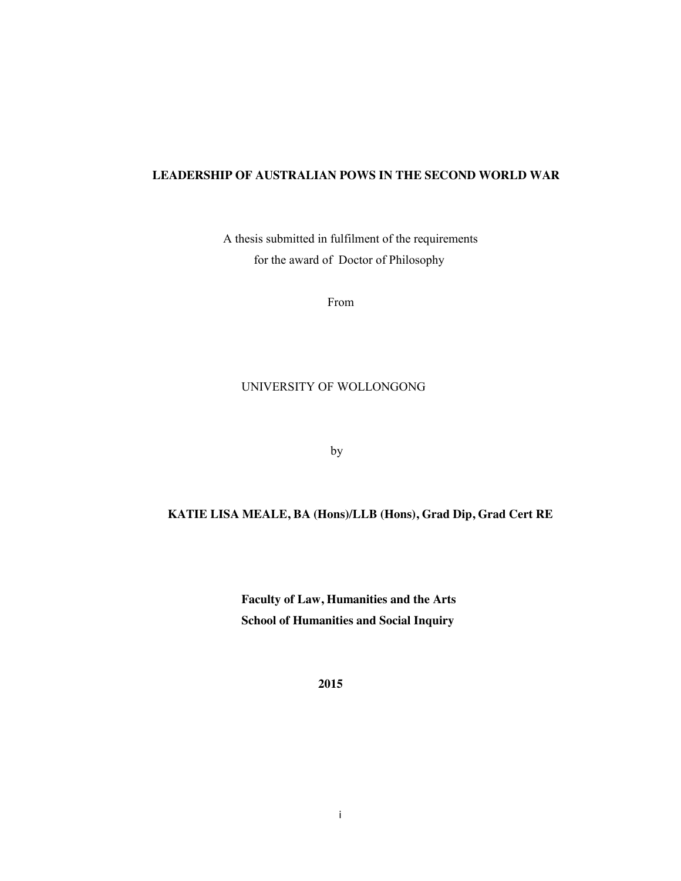### **LEADERSHIP OF AUSTRALIAN POWS IN THE SECOND WORLD WAR**

 A thesis submitted in fulfilment of the requirements for the award of Doctor of Philosophy

From

### UNIVERSITY OF WOLLONGONG

by

### **KATIE LISA MEALE, BA (Hons)/LLB (Hons), Grad Dip, Grad Cert RE**

 **Faculty of Law, Humanities and the Arts School of Humanities and Social Inquiry** 

 **2015**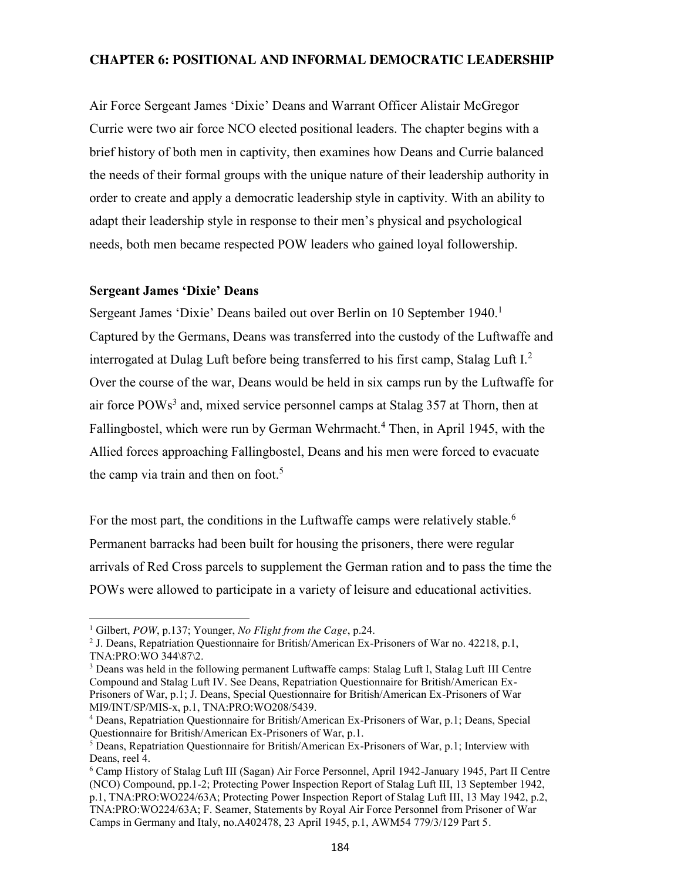## **CHAPTER 6: POSITIONAL AND INFORMAL DEMOCRATIC LEADERSHIP**

Air Force Sergeant James 'Dixie' Deans and Warrant Officer Alistair McGregor Currie were two air force NCO elected positional leaders. The chapter begins with a brief history of both men in captivity, then examines how Deans and Currie balanced the needs of their formal groups with the unique nature of their leadership authority in order to create and apply a democratic leadership style in captivity. With an ability to adapt their leadership style in response to their men's physical and psychological needs, both men became respected POW leaders who gained loyal followership.

### **Sergeant James 'Dixie' Deans**

Sergeant James 'Dixie' Deans bailed out over Berlin on 10 September 1940.<sup>1</sup> Captured by the Germans, Deans was transferred into the custody of the Luftwaffe and interrogated at Dulag Luft before being transferred to his first camp, Stalag Luft I.<sup>2</sup> Over the course of the war, Deans would be held in six camps run by the Luftwaffe for air force POWs<sup>3</sup> and, mixed service personnel camps at Stalag 357 at Thorn, then at Fallingbostel, which were run by German Wehrmacht.<sup>4</sup> Then, in April 1945, with the Allied forces approaching Fallingbostel, Deans and his men were forced to evacuate the camp via train and then on foot. 5

For the most part, the conditions in the Luftwaffe camps were relatively stable.<sup>6</sup> Permanent barracks had been built for housing the prisoners, there were regular arrivals of Red Cross parcels to supplement the German ration and to pass the time the POWs were allowed to participate in a variety of leisure and educational activities.

 $\overline{a}$ 

<sup>&</sup>lt;sup>1</sup> Gilbert, *POW*, p.137; Younger, *No Flight from the Cage*, p.24.<br><sup>2</sup> J. Deans, Repatriation Questionnaire for British/American Ex-Prisoners of War no. 42218, p.1, TNA:PRO:WO 344\87\2.

<sup>&</sup>lt;sup>3</sup> Deans was held in the following permanent Luftwaffe camps: Stalag Luft I, Stalag Luft III Centre Compound and Stalag Luft IV. See Deans, Repatriation Questionnaire for British/American Ex-Prisoners of War, p.1; J. Deans, Special Questionnaire for British/American Ex-Prisoners of War MI9/INT/SP/MIS-x, p.1, TNA:PRO:WO208/5439. 4 Deans, Repatriation Questionnaire for British/American Ex-Prisoners of War, p.1; Deans, Special

Questionnaire for British/American Ex-Prisoners of War, p.1.

<sup>5</sup> Deans, Repatriation Questionnaire for British/American Ex-Prisoners of War, p.1; Interview with Deans, reel 4.

<sup>6</sup> Camp History of Stalag Luft III (Sagan) Air Force Personnel, April 1942-January 1945, Part II Centre (NCO) Compound, pp.1-2; Protecting Power Inspection Report of Stalag Luft III, 13 September 1942, p.1, TNA:PRO:WO224/63A; Protecting Power Inspection Report of Stalag Luft III, 13 May 1942, p.2, TNA:PRO:WO224/63A; F. Seamer, Statements by Royal Air Force Personnel from Prisoner of War Camps in Germany and Italy, no.A402478, 23 April 1945, p.1, AWM54 779/3/129 Part 5.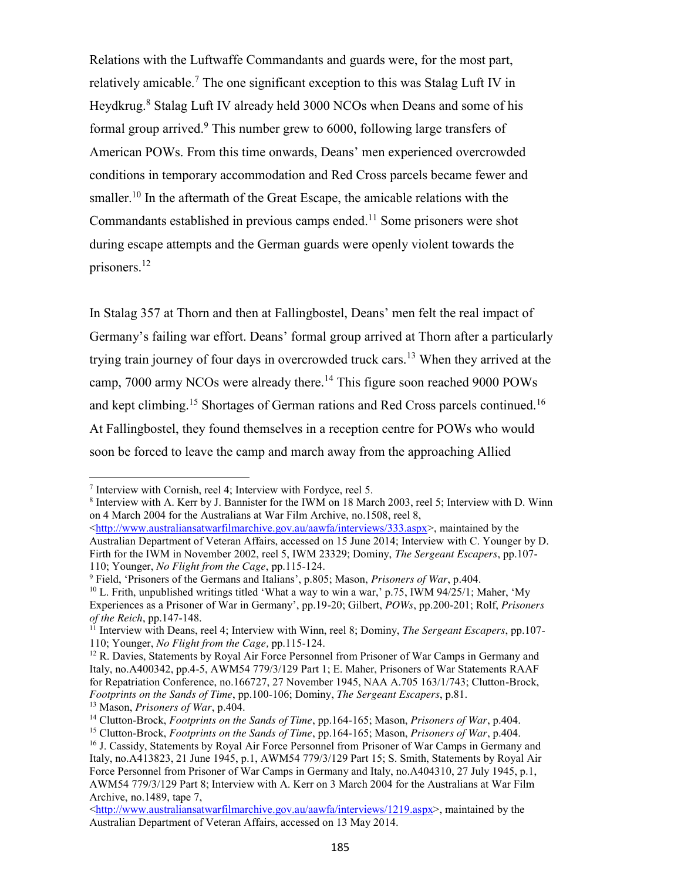Relations with the Luftwaffe Commandants and guards were, for the most part, relatively amicable.<sup>7</sup> The one significant exception to this was Stalag Luft IV in Heydkrug.<sup>8</sup> Stalag Luft IV already held 3000 NCOs when Deans and some of his formal group arrived.<sup>9</sup> This number grew to  $6000$ , following large transfers of American POWs. From this time onwards, Deans' men experienced overcrowded conditions in temporary accommodation and Red Cross parcels became fewer and smaller.<sup>10</sup> In the aftermath of the Great Escape, the amicable relations with the Commandants established in previous camps ended.<sup>11</sup> Some prisoners were shot during escape attempts and the German guards were openly violent towards the prisoners.<sup>12</sup>

In Stalag 357 at Thorn and then at Fallingbostel, Deans' men felt the real impact of Germany's failing war effort. Deans' formal group arrived at Thorn after a particularly trying train journey of four days in overcrowded truck cars.<sup>13</sup> When they arrived at the camp, 7000 army NCOs were already there.<sup>14</sup> This figure soon reached 9000 POWs and kept climbing.<sup>15</sup> Shortages of German rations and Red Cross parcels continued.<sup>16</sup> At Fallingbostel, they found themselves in a reception centre for POWs who would soon be forced to leave the camp and march away from the approaching Allied

 $\overline{a}$ 

<sup>7</sup> Interview with Cornish, reel 4; Interview with Fordyce, reel 5.<br><sup>8</sup> Interview with A. Kerr by J. Bannister for the IWM on 18 March 2003, reel 5; Interview with D. Winn on 4 March 2004 for the Australians at War Film Archive, no.1508, reel 8,

<http://www.australiansatwarfilmarchive.gov.au/aawfa/interviews/333.aspx>, maintained by the Australian Department of Veteran Affairs, accessed on 15 June 2014; Interview with C. Younger by D. Firth for the IWM in November 2002, reel 5, IWM 23329; Dominy, *The Sergeant Escapers*, pp.107- 110; Younger, *No Flight from the Cage*, pp.115-124.<br><sup>9</sup> Field, 'Prisoners of the Germans and Italians', p.805; Mason, *Prisoners of War*, p.404.<br><sup>10</sup> L. Frith, unpublished writings titled 'What a way to win a war,' p.75,

Experiences as a Prisoner of War in Germany', pp.19-20; Gilbert, *POWs*, pp.200-201; Rolf, *Prisoners* 

<sup>&</sup>lt;sup>11</sup> Interview with Deans, reel 4; Interview with Winn, reel 8; Dominy, *The Sergeant Escapers*, pp.107-110; Younger, *No Flight from the Cage,* pp.115-124.

 $12$  R. Davies, Statements by Royal Air Force Personnel from Prisoner of War Camps in Germany and Italy, no.A400342, pp.4-5, AWM54 779/3/129 Part 1; E. Maher, Prisoners of War Statements RAAF for Repatriation Conference, no.166727, 27 November 1945, NAA A.705 163/1/743; Clutton-Brock, *Footprints on the Sands of Time*, pp.100-106; Dominy, *The Sergeant Escapers*, p.81.

<sup>&</sup>lt;sup>14</sup> Clutton-Brock, *Footprints on the Sands of Time*, pp.164-165; Mason, *Prisoners of War*, p.404.<br><sup>15</sup> Clutton-Brock, *Footprints on the Sands of Time*, pp.164-165; Mason, *Prisoners of War*, p.404.<br><sup>16</sup> J. Cassidy, St

Italy, no.A413823, 21 June 1945, p.1, AWM54 779/3/129 Part 15; S. Smith, Statements by Royal Air Force Personnel from Prisoner of War Camps in Germany and Italy, no.A404310, 27 July 1945, p.1, AWM54 779/3/129 Part 8; Interview with A. Kerr on 3 March 2004 for the Australians at War Film Archive, no.1489, tape 7,

<sup>&</sup>lt;http://www.australiansatwarfilmarchive.gov.au/aawfa/interviews/1219.aspx>, maintained by the Australian Department of Veteran Affairs, accessed on 13 May 2014.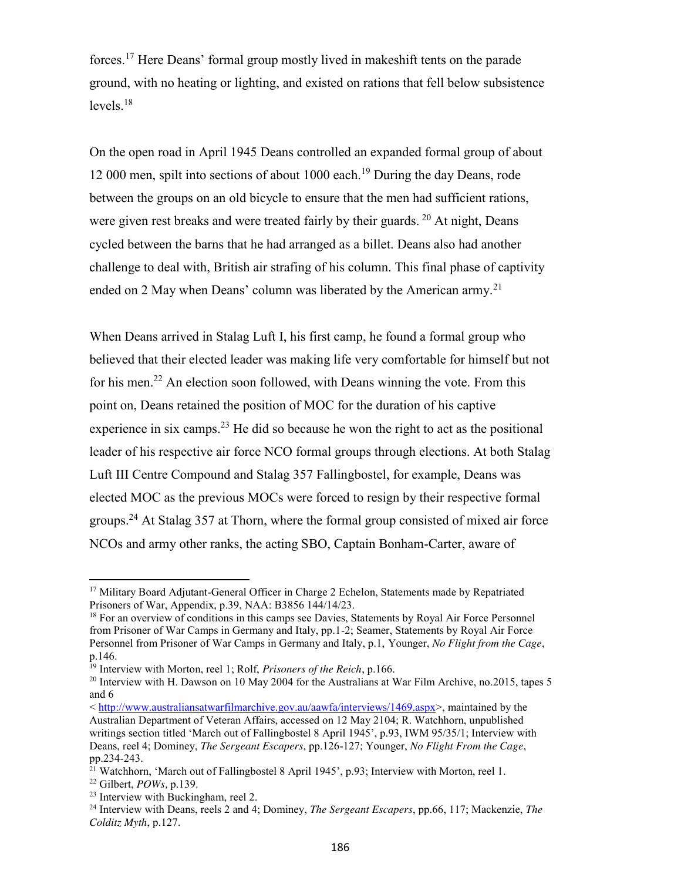forces.<sup>17</sup> Here Deans' formal group mostly lived in makeshift tents on the parade ground, with no heating or lighting, and existed on rations that fell below subsistence levels.<sup>18</sup>

On the open road in April 1945 Deans controlled an expanded formal group of about 12 000 men, spilt into sections of about 1000 each.<sup>19</sup> During the day Deans, rode between the groups on an old bicycle to ensure that the men had sufficient rations, were given rest breaks and were treated fairly by their guards. <sup>20</sup> At night, Deans cycled between the barns that he had arranged as a billet. Deans also had another challenge to deal with, British air strafing of his column. This final phase of captivity ended on 2 May when Deans' column was liberated by the American army.<sup>21</sup>

When Deans arrived in Stalag Luft I, his first camp, he found a formal group who believed that their elected leader was making life very comfortable for himself but not for his men.<sup>22</sup> An election soon followed, with Deans winning the vote. From this point on, Deans retained the position of MOC for the duration of his captive experience in six camps.<sup>23</sup> He did so because he won the right to act as the positional leader of his respective air force NCO formal groups through elections. At both Stalag Luft III Centre Compound and Stalag 357 Fallingbostel, for example, Deans was elected MOC as the previous MOCs were forced to resign by their respective formal groups.<sup>24</sup> At Stalag 357 at Thorn, where the formal group consisted of mixed air force NCOs and army other ranks, the acting SBO, Captain Bonham-Carter, aware of

 $\overline{a}$ 

<sup>&</sup>lt;sup>17</sup> Military Board Adjutant-General Officer in Charge 2 Echelon, Statements made by Repatriated Prisoners of War, Appendix, p.39, NAA: B3856 144/14/23.

<sup>&</sup>lt;sup>18</sup> For an overview of conditions in this camps see Davies, Statements by Royal Air Force Personnel from Prisoner of War Camps in Germany and Italy, pp.1-2; Seamer, Statements by Royal Air Force Personnel from Prisoner of War Camps in Germany and Italy, p.1, Younger, *No Flight from the Cage*, p.146.

<sup>19</sup> Interview with Morton, reel 1; Rolf, *Prisoners of the Reich*, p.166.

<sup>&</sup>lt;sup>20</sup> Interview with H. Dawson on 10 May 2004 for the Australians at War Film Archive, no. 2015, tapes 5 and 6

<sup>&</sup>lt; http://www.australiansatwarfilmarchive.gov.au/aawfa/interviews/1469.aspx>, maintained by the Australian Department of Veteran Affairs, accessed on 12 May 2104; R. Watchhorn, unpublished writings section titled 'March out of Fallingbostel 8 April 1945', p.93, IWM 95/35/1; Interview with Deans, reel 4; Dominey, *The Sergeant Escapers*, pp.126-127; Younger, *No Flight From the Cage*, pp.234-243.

<sup>&</sup>lt;sup>21</sup> Watchhorn, 'March out of Fallingbostel 8 April 1945', p.93; Interview with Morton, reel 1.

<sup>22</sup> Gilbert, *POWs,* p.139.

<sup>23</sup> Interview with Buckingham, reel 2.

<sup>24</sup> Interview with Deans, reels 2 and 4; Dominey, *The Sergeant Escapers*, pp.66, 117; Mackenzie, *The Colditz Myth*, p.127.